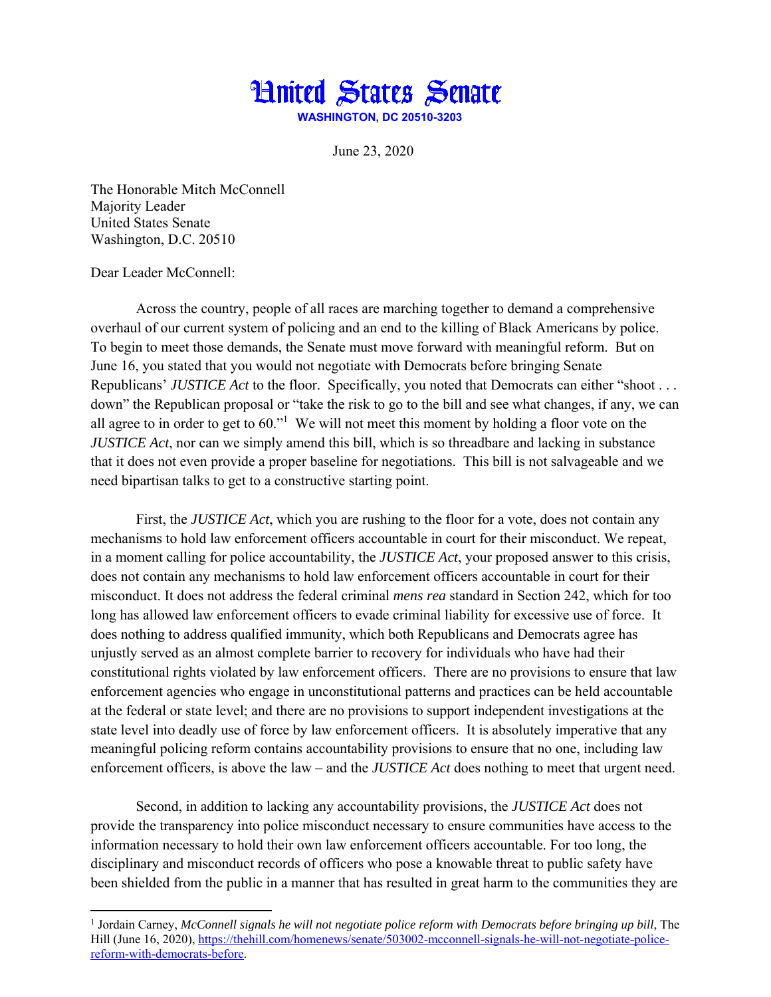

June 23, 2020

The Honorable Mitch McConnell Majority Leader United States Senate Washington, D.C. 20510

## Dear Leader McConnell:

Across the country, people of all races are marching together to demand a comprehensive overhaul of our current system of policing and an end to the killing of Black Americans by police. To begin to meet those demands, the Senate must move forward with meaningful reform. But on June 16, you stated that you would not negotiate with Democrats before bringing Senate Republicans' *JUSTICE Act* to the floor. Specifically, you noted that Democrats can either "shoot . . . down" the Republican proposal or "take the risk to go to the bill and see what changes, if any, we can all agree to in order to get to  $60$ ." We will not meet this moment by holding a floor vote on the *JUSTICE Act*, nor can we simply amend this bill, which is so threadbare and lacking in substance that it does not even provide a proper baseline for negotiations. This bill is not salvageable and we need bipartisan talks to get to a constructive starting point.

First, the *JUSTICE Act*, which you are rushing to the floor for a vote, does not contain any mechanisms to hold law enforcement officers accountable in court for their misconduct. We repeat, in a moment calling for police accountability, the *JUSTICE Act*, your proposed answer to this crisis, does not contain any mechanisms to hold law enforcement officers accountable in court for their misconduct. It does not address the federal criminal *mens rea* standard in Section 242, which for too long has allowed law enforcement officers to evade criminal liability for excessive use of force. It does nothing to address qualified immunity, which both Republicans and Democrats agree has unjustly served as an almost complete barrier to recovery for individuals who have had their constitutional rights violated by law enforcement officers. There are no provisions to ensure that law enforcement agencies who engage in unconstitutional patterns and practices can be held accountable at the federal or state level; and there are no provisions to support independent investigations at the state level into deadly use of force by law enforcement officers. It is absolutely imperative that any meaningful policing reform contains accountability provisions to ensure that no one, including law enforcement officers, is above the law – and the *JUSTICE Act* does nothing to meet that urgent need.

Second, in addition to lacking any accountability provisions, the *JUSTICE Act* does not provide the transparency into police misconduct necessary to ensure communities have access to the information necessary to hold their own law enforcement officers accountable. For too long, the disciplinary and misconduct records of officers who pose a knowable threat to public safety have been shielded from the public in a manner that has resulted in great harm to the communities they are

<sup>&</sup>lt;sup>1</sup> Jordain Carney, *McConnell signals he will not negotiate police reform with Democrats before bringing up bill, The* Hill (June 16, 2020), https://thehill.com/homenews/senate/503002-mcconnell-signals-he-will-not-negotiate-policereform-with-democrats-before.